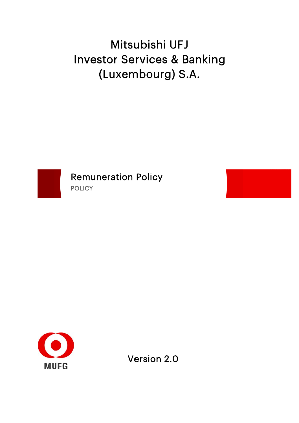# Investor Services & Banking (Luxembourg) S.A. Mitsubishi UFJ



**Remuneration Policy POLICY** 



Version 2.0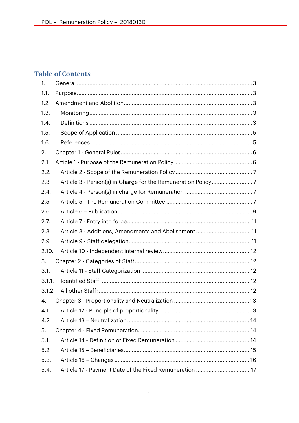# **Table of Contents**

| $\mathbf{1}$ . |                                                        |  |
|----------------|--------------------------------------------------------|--|
| 1.1.           |                                                        |  |
| 1.2.           |                                                        |  |
| 1.3.           |                                                        |  |
| 1.4.           |                                                        |  |
| 1.5.           |                                                        |  |
| 1.6.           |                                                        |  |
| 2.             |                                                        |  |
| 2.1.           |                                                        |  |
| 2.2.           |                                                        |  |
| 2.3.           |                                                        |  |
| 2.4.           |                                                        |  |
| 2.5.           |                                                        |  |
| 2.6.           |                                                        |  |
| 2.7.           |                                                        |  |
| 2.8.           | Article 8 - Additions, Amendments and Abolishment11    |  |
| 2.9.           |                                                        |  |
| 2.10.          |                                                        |  |
| 3.             |                                                        |  |
| 3.1.           |                                                        |  |
| 3.1.1.         |                                                        |  |
| 3.1.2.         |                                                        |  |
| 4.             |                                                        |  |
| 4.1.           |                                                        |  |
| 4.2.           |                                                        |  |
| 5.             |                                                        |  |
| 5.1.           |                                                        |  |
| 5.2.           |                                                        |  |
| 5.3.           |                                                        |  |
| 5.4.           | Article 17 - Payment Date of the Fixed Remuneration 17 |  |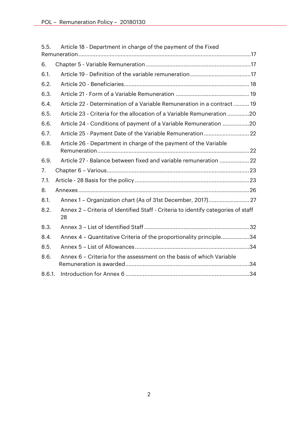| 5.5.   | Article 18 - Department in charge of the payment of the Fixed                           |
|--------|-----------------------------------------------------------------------------------------|
|        |                                                                                         |
| 6.     |                                                                                         |
| 6.1.   |                                                                                         |
| 6.2.   |                                                                                         |
| 6.3.   |                                                                                         |
| 6.4.   | Article 22 - Determination of a Variable Remuneration in a contract  19                 |
| 6.5.   | Article 23 - Criteria for the allocation of a Variable Remuneration 20                  |
| 6.6.   | Article 24 - Conditions of payment of a Variable Remuneration 20                        |
| 6.7.   |                                                                                         |
| 6.8.   | Article 26 - Department in charge of the payment of the Variable                        |
| 6.9.   | Article 27 - Balance between fixed and variable remuneration 22                         |
| 7.     |                                                                                         |
| 7.1.   |                                                                                         |
| 8.     |                                                                                         |
| 8.1.   |                                                                                         |
| 8.2.   | Annex 2 - Criteria of Identified Staff - Criteria to identify categories of staff<br>28 |
| 8.3.   |                                                                                         |
| 8.4.   | Annex 4 - Quantitative Criteria of the proportionality principle34                      |
| 8.5.   |                                                                                         |
| 8.6.   | Annex 6 – Criteria for the assessment on the basis of which Variable                    |
| 8.6.1. |                                                                                         |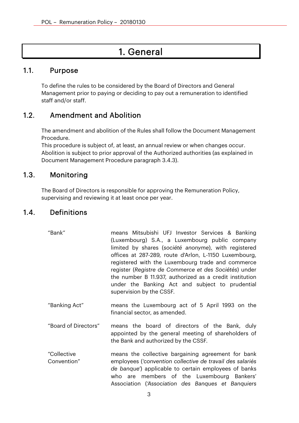# 1. General

#### 1.1. Purpose

To define the rules to be considered by the Board of Directors and General Management prior to paying or deciding to pay out a remuneration to identified staff and/or staff.

## 1.2. Amendment and Abolition

The amendment and abolition of the Rules shall follow the Document Management Procedure.

This procedure is subject of, at least, an annual review or when changes occur. Abolition is subject to prior approval of the Authorized authorities (as explained in Document Management Procedure paragraph 3.4.3).

#### 1.3. Monitoring

The Board of Directors is responsible for approving the Remuneration Policy, supervising and reviewing it at least once per year.

#### 1.4. Definitions

- "Bank" means Mitsubishi UFJ Investor Services & Banking (Luxembourg) S.A., a Luxembourg public company limited by shares (*société anonyme*), with registered offices at 287-289, route d'Arlon, L-1150 Luxembourg, registered with the Luxembourg trade and commerce register (*Registre de Commerce et des Sociétés*) under the number B 11.937, authorized as a credit institution under the Banking Act and subject to prudential supervision by the CSSF.
- "Banking Act" means the Luxembourg act of 5 April 1993 on the financial sector, as amended.
- "Board of Directors" means the board of directors of the Bank, duly appointed by the general meeting of shareholders of the Bank and authorized by the CSSF.
- "Collective Convention" means the collective bargaining agreement for bank employees (*'convention collective de travail des salariés de banque'*) applicable to certain employees of banks who are members of the Luxembourg Bankers' Association (*'Association des Banques et Banquiers*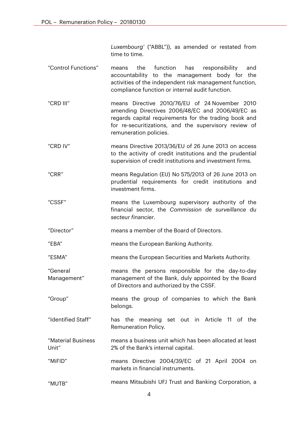*Luxembourg'* ("ABBL")), as amended or restated from time to time.

- "Control Functions" means the function has responsibility and accountability to the management body for the activities of the independent risk management function, compliance function or internal audit function.
- "CRD III" means Directive 2010/76/EU of 24 November 2010 amending Directives 2006/48/EC and 2006/49/EC as regards capital requirements for the trading book and for re-securitizations, and the supervisory review of remuneration policies.
- "CRD IV" means Directive 2013/36/EU of 26 June 2013 on access to the activity of credit institutions and the prudential supervision of credit institutions and investment firms.
- "CRR" means Regulation (EU) No 575/2013 of 26 June 2013 on prudential requirements for credit institutions and investment firms.
- "CSSF" means the Luxembourg supervisory authority of the financial sector, the *Commission de surveillance du secteur financier*.
- "Director" means a member of the Board of Directors.
- "EBA" means the European Banking Authority.
- "ESMA" means the European Securities and Markets Authority.
- "General Management" means the persons responsible for the day-to-day management of the Bank, duly appointed by the Board of Directors and authorized by the CSSF.
- "Group" means the group of companies to which the Bank belongs.
- "Identified Staff" has the meaning set out in Article 11 of the Remuneration Policy.
- "Material Business Unit" means a business unit which has been allocated at least 2% of the Bank's internal capital.
- "MiFID" means Directive 2004/39/EC of 21 April 2004 on markets in financial instruments.
- "MUTB" means Mitsubishi UFJ Trust and Banking Corporation, a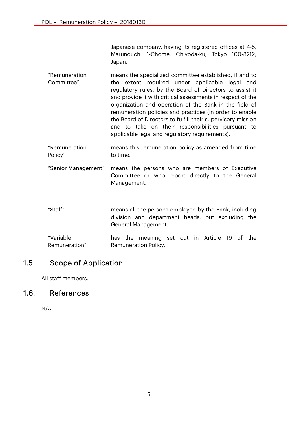Japanese company, having its registered offices at 4-5, Marunouchi 1-Chome, Chiyoda-ku, Tokyo 100-8212, Japan.

- "Remuneration Committee" means the specialized committee established, if and to the extent required under applicable legal and regulatory rules, by the Board of Directors to assist it and provide it with critical assessments in respect of the organization and operation of the Bank in the field of remuneration policies and practices (in order to enable the Board of Directors to fulfill their supervisory mission and to take on their responsibilities pursuant to applicable legal and regulatory requirements).
- "Remuneration Policy" means this remuneration policy as amended from time to time.
- "Senior Management" means the persons who are members of Executive Committee or who report directly to the General Management.
- "Staff" means all the persons employed by the Bank, including division and department heads, but excluding the General Management.
- "Variable Remuneration" has the meaning set out in Article 19 of the Remuneration Policy.

## 1.5. Scope of Application

All staff members.

## 1.6. References

N/A.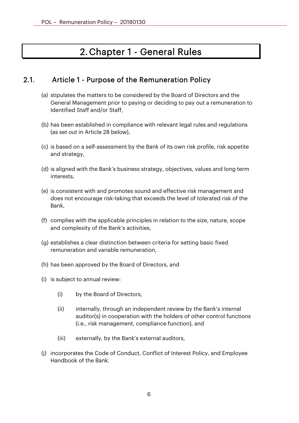# 2.Chapter 1 - General Rules

## 2.1. Article 1 - Purpose of the Remuneration Policy

- (a) stipulates the matters to be considered by the Board of Directors and the General Management prior to paying or deciding to pay out a remuneration to Identified Staff and/or Staff,
- (b) has been established in compliance with relevant legal rules and regulations (as set out in Article 28 below),
- (c) is based on a self-assessment by the Bank of its own risk profile, risk appetite and strategy,
- (d) is aligned with the Bank's business strategy, objectives, values and long term interests,
- (e) is consistent with and promotes sound and effective risk management and does not encourage risk-taking that exceeds the level of tolerated risk of the Bank,
- (f) complies with the applicable principles in relation to the size, nature, scope and complexity of the Bank's activities,
- (g) establishes a clear distinction between criteria for setting basic fixed remuneration and variable remuneration,
- (h) has been approved by the Board of Directors, and
- (i) is subject to annual review:
	- (i) by the Board of Directors,
	- (ii) internally, through an independent review by the Bank's internal auditor(s) in cooperation with the holders of other control functions (i.e., risk management, compliance function), and
	- (iii) externally, by the Bank's external auditors,
- (j) incorporates the Code of Conduct, Conflict of Interest Policy, and Employee Handbook of the Bank.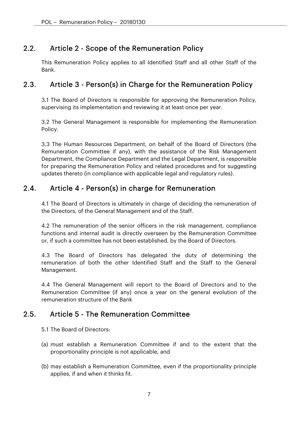## 2.2. Article 2 - Scope of the Remuneration Policy

This Remuneration Policy applies to all Identified Staff and all other Staff of the Bank.

## 2.3. Article 3 - Person(s) in Charge for the Remuneration Policy

3.1 The Board of Directors is responsible for approving the Remuneration Policy, supervising its implementation and reviewing it at least once per year.

3.2 The General Management is responsible for implementing the Remuneration Policy.

3.3 The Human Resources Department, on behalf of the Board of Directors (the Remuneration Committee if any), with the assistance of the Risk Management Department, the Compliance Department and the Legal Department, is responsible for preparing the Remuneration Policy and related procedures and for suggesting updates thereto (in compliance with applicable legal and regulatory rules).

# 2.4. Article 4 - Person(s) in charge for Remuneration

4.1 The Board of Directors is ultimately in charge of deciding the remuneration of the Directors, of the General Management and of the Staff.

4.2 The remuneration of the senior officers in the risk management, compliance functions and internal audit is directly overseen by the Remuneration Committee or, if such a committee has not been established, by the Board of Directors.

4.3 The Board of Directors has delegated the duty of determining the remuneration of both the other Identified Staff and the Staff to the General Management.

4.4 The General Management will report to the Board of Directors and to the Remuneration Committee (if any) once a year on the general evolution of the remuneration structure of the Bank

## 2.5. Article 5 - The Remuneration Committee

- 5.1 The Board of Directors:
- (a) must establish a Remuneration Committee if and to the extent that the proportionality principle is not applicable, and
- (b) may establish a Remuneration Committee, even if the proportionality principle applies, if and when it thinks fit.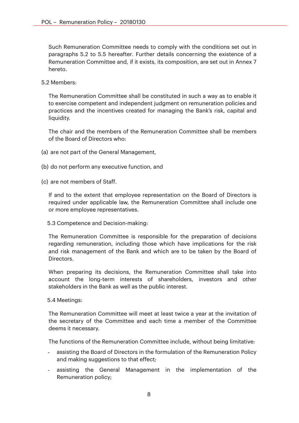Such Remuneration Committee needs to comply with the conditions set out in paragraphs 5.2 to 5.5 hereafter. Further details concerning the existence of a Remuneration Committee and, if it exists, its composition, are set out in Annex 7 hereto.

5.2 Members:

The Remuneration Committee shall be constituted in such a way as to enable it to exercise competent and independent judgment on remuneration policies and practices and the incentives created for managing the Bank's risk, capital and liquidity.

The chair and the members of the Remuneration Committee shall be members of the Board of Directors who:

- (a) are not part of the General Management,
- (b) do not perform any executive function, and
- (c) are not members of Staff.

If and to the extent that employee representation on the Board of Directors is required under applicable law, the Remuneration Committee shall include one or more employee representatives.

5.3 Competence and Decision-making:

The Remuneration Committee is responsible for the preparation of decisions regarding remuneration, including those which have implications for the risk and risk management of the Bank and which are to be taken by the Board of Directors.

When preparing its decisions, the Remuneration Committee shall take into account the long-term interests of shareholders, investors and other stakeholders in the Bank as well as the public interest.

#### 5.4 Meetings:

The Remuneration Committee will meet at least twice a year at the invitation of the secretary of the Committee and each time a member of the Committee deems it necessary.

The functions of the Remuneration Committee include, without being limitative:

- assisting the Board of Directors in the formulation of the Remuneration Policy and making suggestions to that effect;
- assisting the General Management in the implementation of the Remuneration policy;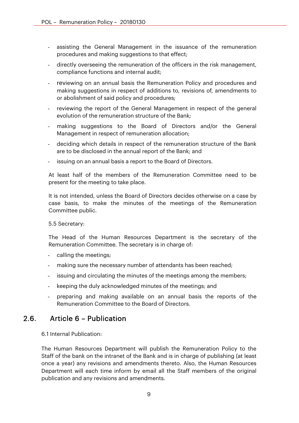- assisting the General Management in the issuance of the remuneration procedures and making suggestions to that effect;
- directly overseeing the remuneration of the officers in the risk management, compliance functions and internal audit;
- reviewing on an annual basis the Remuneration Policy and procedures and making suggestions in respect of additions to, revisions of, amendments to or abolishment of said policy and procedures;
- reviewing the report of the General Management in respect of the general evolution of the remuneration structure of the Bank;
- making suggestions to the Board of Directors and/or the General Management in respect of remuneration allocation;
- deciding which details in respect of the remuneration structure of the Bank are to be disclosed in the annual report of the Bank; and
- issuing on an annual basis a report to the Board of Directors.

At least half of the members of the Remuneration Committee need to be present for the meeting to take place.

It is not intended, unless the Board of Directors decides otherwise on a case by case basis, to make the minutes of the meetings of the Remuneration Committee public.

5.5 Secretary:

The Head of the Human Resources Department is the secretary of the Remuneration Committee. The secretary is in charge of:

- calling the meetings;
- making sure the necessary number of attendants has been reached;
- issuing and circulating the minutes of the meetings among the members;
- keeping the duly acknowledged minutes of the meetings; and
- preparing and making available on an annual basis the reports of the Remuneration Committee to the Board of Directors.

#### 2.6. Article 6 – Publication

6.1 Internal Publication:

The Human Resources Department will publish the Remuneration Policy to the Staff of the bank on the intranet of the Bank and is in charge of publishing (at least once a year) any revisions and amendments thereto. Also, the Human Resources Department will each time inform by email all the Staff members of the original publication and any revisions and amendments.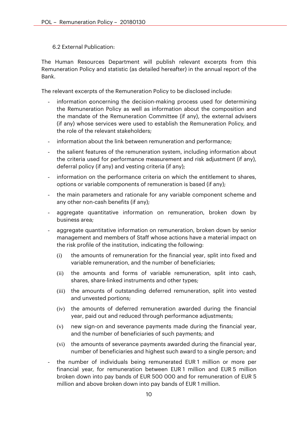#### 6.2 External Publication:

The Human Resources Department will publish relevant excerpts from this Remuneration Policy and statistic (as detailed hereafter) in the annual report of the Bank.

The relevant excerpts of the Remuneration Policy to be disclosed include:

- information concerning the decision-making process used for determining the Remuneration Policy as well as information about the composition and the mandate of the Remuneration Committee (if any), the external advisers (if any) whose services were used to establish the Remuneration Policy, and the role of the relevant stakeholders;
- information about the link between remuneration and performance;
- the salient features of the remuneration system, including information about the criteria used for performance measurement and risk adjustment (if any), deferral policy (if any) and vesting criteria (if any);
- information on the performance criteria on which the entitlement to shares, options or variable components of remuneration is based (if any);
- the main parameters and rationale for any variable component scheme and any other non-cash benefits (if any);
- aggregate quantitative information on remuneration, broken down by business area;
- aggregate quantitative information on remuneration, broken down by senior management and members of Staff whose actions have a material impact on the risk profile of the institution, indicating the following:
	- (i) the amounts of remuneration for the financial year, split into fixed and variable remuneration, and the number of beneficiaries;
	- (ii) the amounts and forms of variable remuneration, split into cash, shares, share-linked instruments and other types;
	- (iii) the amounts of outstanding deferred remuneration, split into vested and unvested portions;
	- (iv) the amounts of deferred remuneration awarded during the financial year, paid out and reduced through performance adjustments;
	- (v) new sign-on and severance payments made during the financial year, and the number of beneficiaries of such payments; and
	- (vi) the amounts of severance payments awarded during the financial year, number of beneficiaries and highest such award to a single person; and
- the number of individuals being remunerated EUR 1 million or more per financial year, for remuneration between EUR 1 million and EUR 5 million broken down into pay bands of EUR 500 000 and for remuneration of EUR 5 million and above broken down into pay bands of EUR 1 million.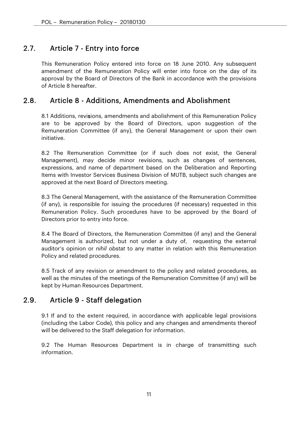# 2.7. Article 7 - Entry into force

This Remuneration Policy entered into force on 18 June 2010. Any subsequent amendment of the Remuneration Policy will enter into force on the day of its approval by the Board of Directors of the Bank in accordance with the provisions of Article 8 hereafter.

## 2.8. Article 8 - Additions, Amendments and Abolishment

8.1 Additions, revisions, amendments and abolishment of this Remuneration Policy are to be approved by the Board of Directors, upon suggestion of the Remuneration Committee (if any), the General Management or upon their own initiative.

8.2 The Remuneration Committee (or if such does not exist, the General Management), may decide minor revisions, such as changes of sentences, expressions, and name of department based on the Deliberation and Reporting Items with Investor Services Business Division of MUTB, subject such changes are approved at the next Board of Directors meeting.

8.3 The General Management, with the assistance of the Remuneration Committee (if any), is responsible for issuing the procedures (if necessary) requested in this Remuneration Policy. Such procedures have to be approved by the Board of Directors prior to entry into force.

8.4 The Board of Directors, the Remuneration Committee (if any) and the General Management is authorized, but not under a duty of, requesting the external auditor's opinion or *nihil obstat* to any matter in relation with this Remuneration Policy and related procedures.

8.5 Track of any revision or amendment to the policy and related procedures, as well as the minutes of the meetings of the Remuneration Committee (if any) will be kept by Human Resources Department.

## 2.9. Article 9 - Staff delegation

9.1 If and to the extent required, in accordance with applicable legal provisions (including the Labor Code), this policy and any changes and amendments thereof will be delivered to the Staff delegation for information.

9.2 The Human Resources Department is in charge of transmitting such information.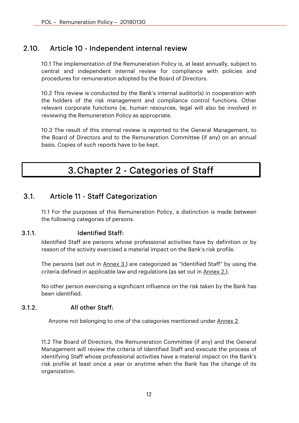## 2.10. Article 10 - Independent internal review

10.1 The implementation of the Remuneration Policy is, at least annually, subject to central and independent internal review for compliance with policies and procedures for remuneration adopted by the Board of Directors.

10.2 This review is conducted by the Bank's internal auditor(s) in cooperation with the holders of the risk management and compliance control functions. Other relevant corporate functions (ie, human resources, legal will also be involved in reviewing the Remuneration Policy as appropriate.

10.3 The result of this internal review is reported to the General Management, to the Board of Directors and to the Remuneration Committee (if any) on an annual basis. Copies of such reports have to be kept.

# 3.Chapter 2 - Categories of Staff

## 3.1. Article 11 - Staff Categorization

11.1 For the purposes of this Remuneration Policy, a distinction is made between the following categories of persons.

#### 3.1.1. Identified Staff:

Identified Staff are persons whose professional activities have by definition or by reason of the activity exercised a material impact on the Bank's risk profile.

The persons (set out in Annex 3.) are categorized as "Identified Staff" by using the criteria defined in applicable law and regulations (as set out in Annex 2.).

No other person exercising a significant influence on the risk taken by the Bank has been identified.

#### 3.1.2. All other Staff:

Anyone not belonging to one of the categories mentioned under Annex 2.

11.2 The Board of Directors, the Remuneration Committee (if any) and the General Management will review the criteria of Identified Staff and execute the process of identifying Staff whose professional activities have a material impact on the Bank's risk profile at least once a year or anytime when the Bank has the change of its organization.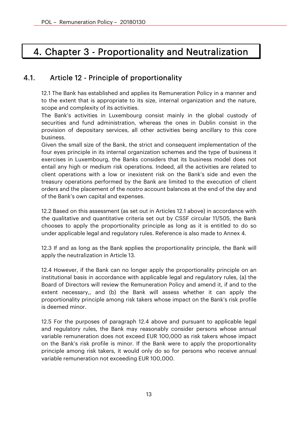# 4. Chapter 3 - Proportionality and Neutralization

# 4.1. Article 12 - Principle of proportionality

12.1 The Bank has established and applies its Remuneration Policy in a manner and to the extent that is appropriate to its size, internal organization and the nature, scope and complexity of its activities.

The Bank's activities in Luxembourg consist mainly in the global custody of securities and fund administration, whereas the ones in Dublin consist in the provision of depositary services, all other activities being ancillary to this core business.

Given the small size of the Bank, the strict and consequent implementation of the four eyes principle in its internal organization schemes and the type of business it exercises in Luxembourg, the Banks considers that its business model does not entail any high or medium risk operations. Indeed, all the activities are related to client operations with a low or inexistent risk on the Bank's side and even the treasury operations performed by the Bank are limited to the execution of client orders and the placement of the *nostro* account balances at the end of the day and of the Bank's own capital and expenses.

12.2 Based on this assessment (as set out in Articles 12.1 above) in accordance with the qualitative and quantitative criteria set out by CSSF circular 11/505, the Bank chooses to apply the proportionality principle as long as it is entitled to do so under applicable legal and regulatory rules. Reference is also made to Annex 4.

12.3 If and as long as the Bank applies the proportionality principle, the Bank will apply the neutralization in Article 13.

12.4 However, if the Bank can no longer apply the proportionality principle on an institutional basis in accordance with applicable legal and regulatory rules, (a) the Board of Directors will review the Remuneration Policy and amend it, if and to the extent necessary,, and (b) the Bank will assess whether it can apply the proportionality principle among risk takers whose impact on the Bank's risk profile is deemed minor.

12.5 For the purposes of paragraph 12.4 above and pursuant to applicable legal and regulatory rules, the Bank may reasonably consider persons whose annual variable remuneration does not exceed EUR 100,000 as risk takers whose impact on the Bank's risk profile is minor. If the Bank were to apply the proportionality principle among risk takers, it would only do so for persons who receive annual variable remuneration not exceeding EUR 100,000.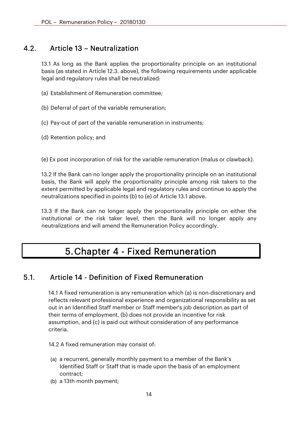## 4.2. Article 13 – Neutralization

13.1 As long as the Bank applies the proportionality principle on an institutional basis (as stated in Article 12.3. above), the following requirements under applicable legal and regulatory rules shall be neutralized:

- (a) Establishment of Remuneration committee;
- (b) Deferral of part of the variable remuneration;
- (c) Pay-out of part of the variable remuneration in instruments;
- (d) Retention policy; and

(e) Ex post incorporation of risk for the variable remuneration (malus or clawback).

13.2 If the Bank can no longer apply the proportionality principle on an institutional basis, the Bank will apply the proportionality principle among risk takers to the extent permitted by applicable legal and regulatory rules and continue to apply the neutralizations specified in points (b) to (e) of Article 13.1 above.

13.3 If the Bank can no longer apply the proportionality principle on either the institutional or the risk taker level, then the Bank will no longer apply any neutralizations and will amend the Remuneration Policy accordingly.

# 5.Chapter 4 - Fixed Remuneration

#### 5.1. Article 14 - Definition of Fixed Remuneration

14.1 A fixed remuneration is any remuneration which (a) is non-discretionary and reflects relevant professional experience and organizational responsibility as set out in an Identified Staff member or Staff member's job description as part of their terms of employment, (b) does not provide an incentive for risk assumption, and (c) is paid out without consideration of any performance criteria.

14.2 A fixed remuneration may consist of:

- (a) a recurrent, generally monthly payment to a member of the Bank's Identified Staff or Staff that is made upon the basis of an employment contract;
- (b) a 13th month payment;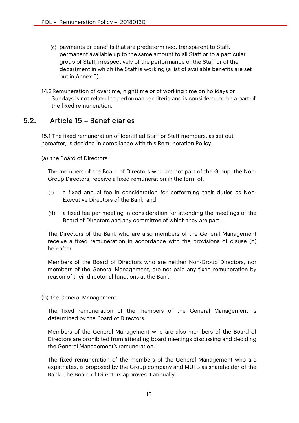- (c) payments or benefits that are predetermined, transparent to Staff, permanent available up to the same amount to all Staff or to a particular group of Staff, irrespectively of the performance of the Staff or of the department in which the Staff is working (a list of available benefits are set out in Annex 5).
- 14.2Remuneration of overtime, nighttime or of working time on holidays or Sundays is not related to performance criteria and is considered to be a part of the fixed remuneration.

## 5.2. Article 15 – Beneficiaries

15.1 The fixed remuneration of Identified Staff or Staff members, as set out hereafter, is decided in compliance with this Remuneration Policy.

(a) the Board of Directors

The members of the Board of Directors who are not part of the Group, the Non-Group Directors, receive a fixed remuneration in the form of:

- (i) a fixed annual fee in consideration for performing their duties as Non-Executive Directors of the Bank, and
- (ii) a fixed fee per meeting in consideration for attending the meetings of the Board of Directors and any committee of which they are part.

The Directors of the Bank who are also members of the General Management receive a fixed remuneration in accordance with the provisions of clause (b) hereafter.

Members of the Board of Directors who are neither Non-Group Directors, nor members of the General Management, are not paid any fixed remuneration by reason of their directorial functions at the Bank.

(b) the General Management

The fixed remuneration of the members of the General Management is determined by the Board of Directors.

Members of the General Management who are also members of the Board of Directors are prohibited from attending board meetings discussing and deciding the General Management's remuneration.

The fixed remuneration of the members of the General Management who are expatriates, is proposed by the Group company and MUTB as shareholder of the Bank. The Board of Directors approves it annually.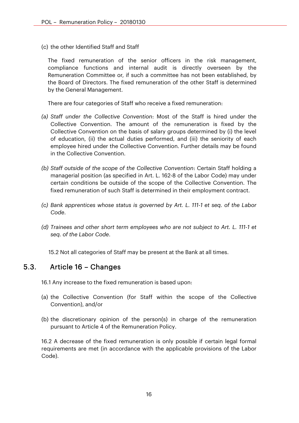(c) the other Identified Staff and Staff

The fixed remuneration of the senior officers in the risk management, compliance functions and internal audit is directly overseen by the Remuneration Committee or, if such a committee has not been established, by the Board of Directors. The fixed remuneration of the other Staff is determined by the General Management.

There are four categories of Staff who receive a fixed remuneration:

- *(a) Staff under the Collective Convention*: Most of the Staff is hired under the Collective Convention. The amount of the remuneration is fixed by the Collective Convention on the basis of salary groups determined by (i) the level of education, (ii) the actual duties performed, and (iii) the seniority of each employee hired under the Collective Convention. Further details may be found in the Collective Convention.
- *(b) Staff outside of the scope of the Collective Convention*: Certain Staff holding a managerial position (as specified in Art. L. 162-8 of the Labor Code) may under certain conditions be outside of the scope of the Collective Convention. The fixed remuneration of such Staff is determined in their employment contract.
- *(c) Bank apprentices whose status is governed by Art. L. 111-1 et seq. of the Labor Code*.
- *(d) Trainees and other short term employees who are not subject to Art. L. 111-1 et seq. of the Labor Code*.

15.2 Not all categories of Staff may be present at the Bank at all times.

#### 5.3. Article 16 – Changes

16.1 Any increase to the fixed remuneration is based upon:

- (a) the Collective Convention (for Staff within the scope of the Collective Convention), and/or
- (b) the discretionary opinion of the person(s) in charge of the remuneration pursuant to Article 4 of the Remuneration Policy.

16.2 A decrease of the fixed remuneration is only possible if certain legal formal requirements are met (in accordance with the applicable provisions of the Labor Code).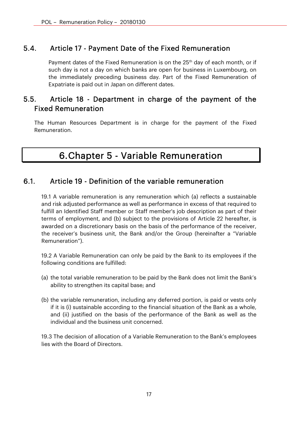## 5.4. Article 17 - Payment Date of the Fixed Remuneration

Payment dates of the Fixed Remuneration is on the 25<sup>th</sup> day of each month, or if such day is not a day on which banks are open for business in Luxembourg, on the immediately preceding business day. Part of the Fixed Remuneration of Expatriate is paid out in Japan on different dates.

## 5.5. Article 18 - Department in charge of the payment of the Fixed Remuneration

The Human Resources Department is in charge for the payment of the Fixed Remuneration.

# 6.Chapter 5 - Variable Remuneration

#### 6.1. Article 19 - Definition of the variable remuneration

19.1 A variable remuneration is any remuneration which (a) reflects a sustainable and risk adjusted performance as well as performance in excess of that required to fulfill an Identified Staff member or Staff member's job description as part of their terms of employment, and (b) subject to the provisions of Article 22 hereafter, is awarded on a discretionary basis on the basis of the performance of the receiver, the receiver's business unit, the Bank and/or the Group (hereinafter a "Variable Remuneration").

19.2 A Variable Remuneration can only be paid by the Bank to its employees if the following conditions are fulfilled:

- (a) the total variable remuneration to be paid by the Bank does not limit the Bank's ability to strengthen its capital base; and
- (b) the variable remuneration, including any deferred portion, is paid or vests only if it is (i) sustainable according to the financial situation of the Bank as a whole, and (ii) justified on the basis of the performance of the Bank as well as the individual and the business unit concerned.

19.3 The decision of allocation of a Variable Remuneration to the Bank's employees lies with the Board of Directors.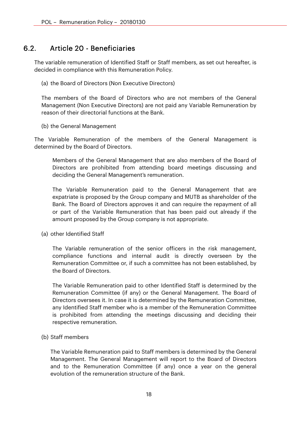## 6.2. Article 20 - Beneficiaries

The variable remuneration of Identified Staff or Staff members, as set out hereafter, is decided in compliance with this Remuneration Policy.

(a) the Board of Directors (Non Executive Directors)

The members of the Board of Directors who are not members of the General Management (Non Executive Directors) are not paid any Variable Remuneration by reason of their directorial functions at the Bank.

(b) the General Management

The Variable Remuneration of the members of the General Management is determined by the Board of Directors.

Members of the General Management that are also members of the Board of Directors are prohibited from attending board meetings discussing and deciding the General Management's remuneration.

The Variable Remuneration paid to the General Management that are expatriate is proposed by the Group company and MUTB as shareholder of the Bank. The Board of Directors approves it and can require the repayment of all or part of the Variable Remuneration that has been paid out already if the amount proposed by the Group company is not appropriate.

(a) other Identified Staff

The Variable remuneration of the senior officers in the risk management, compliance functions and internal audit is directly overseen by the Remuneration Committee or, if such a committee has not been established, by the Board of Directors.

The Variable Remuneration paid to other Identified Staff is determined by the Remuneration Committee (if any) or the General Management. The Board of Directors oversees it. In case it is determined by the Remuneration Committee, any Identified Staff member who is a member of the Remuneration Committee is prohibited from attending the meetings discussing and deciding their respective remuneration.

(b) Staff members

The Variable Remuneration paid to Staff members is determined by the General Management. The General Management will report to the Board of Directors and to the Remuneration Committee (if any) once a year on the general evolution of the remuneration structure of the Bank.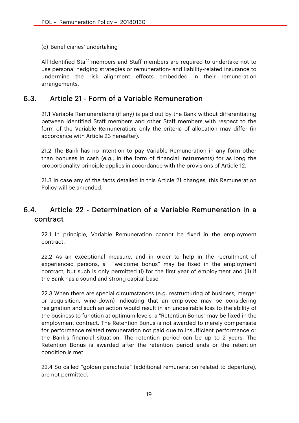(c) Beneficiaries' undertaking

All Identified Staff members and Staff members are required to undertake not to use personal hedging strategies or remuneration- and liability-related insurance to undermine the risk alignment effects embedded in their remuneration arrangements.

#### 6.3. Article 21 - Form of a Variable Remuneration

21.1 Variable Remunerations (if any) is paid out by the Bank without differentiating between Identified Staff members and other Staff members with respect to the form of the Variable Remuneration; only the criteria of allocation may differ (in accordance with Article 23 hereafter).

21.2 The Bank has no intention to pay Variable Remuneration in any form other than bonuses in cash (*e.g.*, in the form of financial instruments) for as long the proportionality principle applies in accordance with the provisions of Article 12.

21.3 In case any of the facts detailed in this Article 21 changes, this Remuneration Policy will be amended.

## 6.4. Article 22 - Determination of a Variable Remuneration in a contract

22.1 In principle, Variable Remuneration cannot be fixed in the employment contract.

22.2 As an exceptional measure, and in order to help in the recruitment of experienced persons, a "welcome bonus" may be fixed in the employment contract, but such is only permitted (i) for the first year of employment and (ii) if the Bank has a sound and strong capital base.

22.3 When there are special circumstances (e.g. restructuring of business, merger or acquisition, wind-down) indicating that an employee may be considering resignation and such an action would result in an undesirable loss to the ability of the business to function at optimum levels, a "Retention Bonus" may be fixed in the employment contract. The Retention Bonus is not awarded to merely compensate for performance related remuneration not paid due to insufficient performance or the Bank's financial situation. The retention period can be up to 2 years. The Retention Bonus is awarded after the retention period ends or the retention condition is met.

22.4 So called "golden parachute" (additional remuneration related to departure), are not permitted.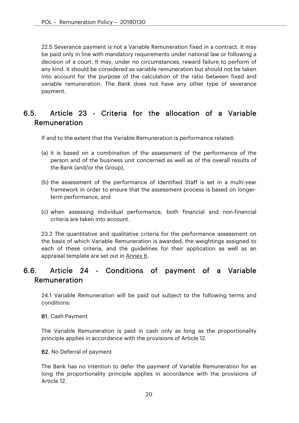22.5 Severance payment is not a Variable Remuneration fixed in a contract. It may be paid only in line with mandatory requirements under national law or following a decision of a court. It may, under no circumstances, reward failure to perform of any kind. It should be considered as variable remuneration but should not be taken into account for the purpose of the calculation of the ratio between fixed and variable remuneration. The Bank does not have any other type of severance payment.

# 6.5. Article 23 - Criteria for the allocation of a Variable Remuneration

If and to the extent that the Variable Remuneration is performance related:

- (a) it is based on a combination of the assessment of the performance of the person and of the business unit concerned as well as of the overall results of the Bank (and/or the Group),
- (b) the assessment of the performance of Identified Staff is set in a multi-year framework in order to ensure that the assessment process is based on longerterm performance, and
- (c) when assessing individual performance, both financial and non-financial criteria are taken into account.

23.2 The quantitative and qualitative criteria for the performance assessment on the basis of which Variable Remuneration is awarded, the weightings assigned to each of these criteria, and the guidelines for their application as well as an appraisal template are set out in Annex 6.

## 6.6. Article 24 - Conditions of payment of a Variable Remuneration

24.1 Variable Remuneration will be paid out subject to the following terms and conditions:

#### B1. Cash Payment

The Variable Remuneration is paid in cash only as long as the proportionality principle applies in accordance with the provisions of Article 12.

#### B2. No Deferral of payment

The Bank has no intention to defer the payment of Variable Remuneration for as long the proportionality principle applies in accordance with the provisions of Article 12.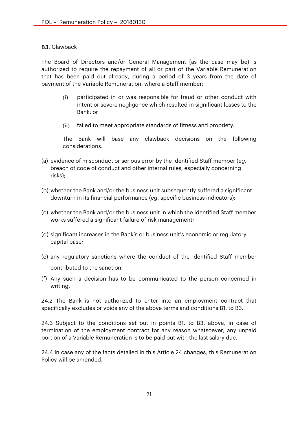#### B3. Clawback

The Board of Directors and/or General Management (as the case may be) is authorized to require the repayment of all or part of the Variable Remuneration that has been paid out already, during a period of 3 years from the date of payment of the Variable Remuneration, where a Staff member:

- (i) participated in or was responsible for fraud or other conduct with intent or severe negligence which resulted in significant losses to the Bank; or
- (ii) failed to meet appropriate standards of fitness and propriety.

The Bank will base any clawback decisions on the following considerations:

- (a) evidence of misconduct or serious error by the Identified Staff member (*eg*, breach of code of conduct and other internal rules, especially concerning risks);
- (b) whether the Bank and/or the business unit subsequently suffered a significant downturn in its financial performance (*eg*, specific business indicators);
- (c) whether the Bank and/or the business unit in which the Identified Staff member works suffered a significant failure of risk management;
- (d) significant increases in the Bank's or business unit's economic or regulatory capital base;
- (e) any regulatory sanctions where the conduct of the Identified Staff member contributed to the sanction.
- (f) Any such a decision has to be communicated to the person concerned in writing.

24.2 The Bank is not authorized to enter into an employment contract that specifically excludes or voids any of the above terms and conditions B1. to B3.

24.3 Subject to the conditions set out in points B1. to B3. above, in case of termination of the employment contract for any reason whatsoever, any unpaid portion of a Variable Remuneration is to be paid out with the last salary due.

24.4 In case any of the facts detailed in this Article 24 changes, this Remuneration Policy will be amended.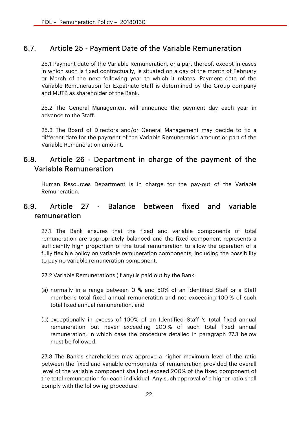## 6.7. Article 25 - Payment Date of the Variable Remuneration

25.1 Payment date of the Variable Remuneration, or a part thereof, except in cases in which such is fixed contractually, is situated on a day of the month of February or March of the next following year to which it relates. Payment date of the Variable Remuneration for Expatriate Staff is determined by the Group company and MUTB as shareholder of the Bank.

25.2 The General Management will announce the payment day each year in advance to the Staff.

25.3 The Board of Directors and/or General Management may decide to fix a different date for the payment of the Variable Remuneration amount or part of the Variable Remuneration amount.

## 6.8. Article 26 - Department in charge of the payment of the Variable Remuneration

Human Resources Department is in charge for the pay-out of the Variable Remuneration.

## 6.9. Article 27 - Balance between fixed and variable remuneration

27.1 The Bank ensures that the fixed and variable components of total remuneration are appropriately balanced and the fixed component represents a sufficiently high proportion of the total remuneration to allow the operation of a fully flexible policy on variable remuneration components, including the possibility to pay no variable remuneration component.

27.2 Variable Remunerations (if any) is paid out by the Bank:

- (a) normally in a range between 0 % and 50% of an Identified Staff or a Staff member's total fixed annual remuneration and not exceeding 100 % of such total fixed annual remuneration, and
- (b) exceptionally in excess of 100% of an Identified Staff 's total fixed annual remuneration but never exceeding 200 % of such total fixed annual remuneration, in which case the procedure detailed in paragraph 27.3 below must be followed.

27.3 The Bank's shareholders may approve a higher maximum level of the ratio between the fixed and variable components of remuneration provided the overall level of the variable component shall not exceed 200% of the fixed component of the total remuneration for each individual. Any such approval of a higher ratio shall comply with the following procedure: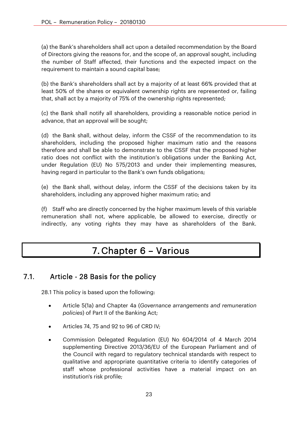(a) the Bank's shareholders shall act upon a detailed recommendation by the Board of Directors giving the reasons for, and the scope of, an approval sought, including the number of Staff affected, their functions and the expected impact on the requirement to maintain a sound capital base;

(b) the Bank's shareholders shall act by a majority of at least 66% provided that at least 50% of the shares or equivalent ownership rights are represented or, failing that, shall act by a majority of 75% of the ownership rights represented;

(c) the Bank shall notify all shareholders, providing a reasonable notice period in advance, that an approval will be sought;

(d) the Bank shall, without delay, inform the CSSF of the recommendation to its shareholders, including the proposed higher maximum ratio and the reasons therefore and shall be able to demonstrate to the CSSF that the proposed higher ratio does not conflict with the institution's obligations under the Banking Act, under Regulation (EU) No 575/2013 and under their implementing measures, having regard in particular to the Bank's own funds obligations;

(e) the Bank shall, without delay, inform the CSSF of the decisions taken by its shareholders, including any approved higher maximum ratio; and

(f) Staff who are directly concerned by the higher maximum levels of this variable remuneration shall not, where applicable, be allowed to exercise, directly or indirectly, any voting rights they may have as shareholders of the Bank.

# 7. Chapter 6 – Various

## 7.1. Article - 28 Basis for the policy

28.1 This policy is based upon the following:

- Article 5(1a) and Chapter 4a (*Governance arrangements and remuneration policies*) of Part II of the Banking Act;
- Articles 74, 75 and 92 to 96 of CRD IV;
- Commission Delegated Regulation (EU) No 604/2014 of 4 March 2014 supplementing Directive 2013/36/EU of the European Parliament and of the Council with regard to regulatory technical standards with respect to qualitative and appropriate quantitative criteria to identify categories of staff whose professional activities have a material impact on an institution's risk profile;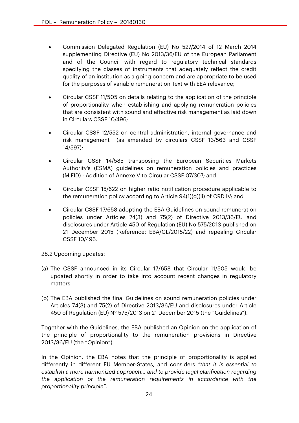- Commission Delegated Regulation (EU) No 527/2014 of 12 March 2014 supplementing Directive (EU) No 2013/36/EU of the European Parliament and of the Council with regard to regulatory technical standards specifying the classes of instruments that adequately reflect the credit quality of an institution as a going concern and are appropriate to be used for the purposes of variable remuneration Text with EEA relevance;
- Circular CSSF 11/505 on details relating to the application of the principle of proportionality when establishing and applying remuneration policies that are consistent with sound and effective risk management as laid down in Circulars CSSF 10/496;
- Circular CSSF 12/552 on central administration, internal governance and risk management (as amended by circulars CSSF 13/563 and CSSF 14/597);
- Circular CSSF 14/585 transposing the European Securities Markets Authority's (ESMA) guidelines on remuneration policies and practices (MiFID) - Addition of Annexe V to Circular CSSF 07/307; and
- Circular CSSF 15/622 on higher ratio notification procedure applicable to the remuneration policy according to Article 94(1)(g)(ii) of CRD IV; and
- Circular CSSF 17/658 adopting the EBA Guidelines on sound remuneration policies under Articles 74(3) and 75(2) of Directive 2013/36/EU and disclosures under Article 450 of Regulation (EU) No 575/2013 published on 21 December 2015 (Reference: EBA/GL/2015/22) and repealing Circular CSSF 10/496.
- 28.2 Upcoming updates:
- (a) The CSSF announced in its Circular 17/658 that Circular 11/505 would be updated shortly in order to take into account recent changes in regulatory matters.
- (b) The EBA published the final Guidelines on sound remuneration policies under Articles 74(3) and 75(2) of Directive 2013/36/EU and disclosures under Article 450 of Regulation (EU) N° 575/2013 on 21 December 2015 (the "Guidelines").

Together with the Guidelines, the EBA published an Opinion on the application of the principle of proportionality to the remuneration provisions in Directive 2013/36/EU (the "Opinion").

In the Opinion, the EBA notes that the principle of proportionality is applied differently in different EU Member-States, and considers *"that it is essential to establish a more harmonized approach… and to provide legal clarification regarding the application of the remuneration requirements in accordance with the proportionality principle"*.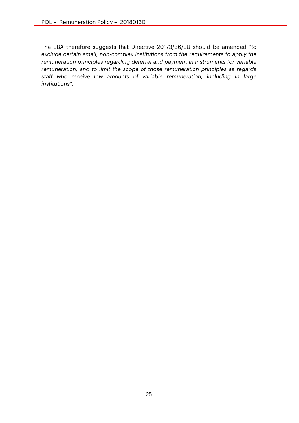The EBA therefore suggests that Directive 20173/36/EU should be amended *"to exclude certain small, non-complex institutions from the requirements to apply the remuneration principles regarding deferral and payment in instruments for variable remuneration, and to limit the scope of those remuneration principles as regards staff who receive low amounts of variable remuneration, including in large institutions"*.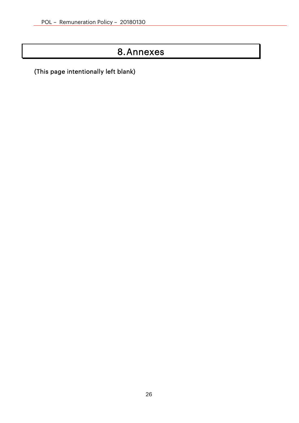# 8.Annexes

(This page intentionally left blank)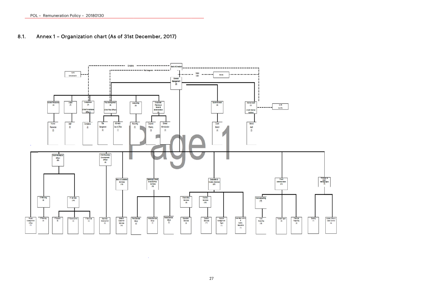#### 8 .1.A Annex 1 – Organ ization c hart (As of 31st December, 2017)



 $\mathbf{r}$ 

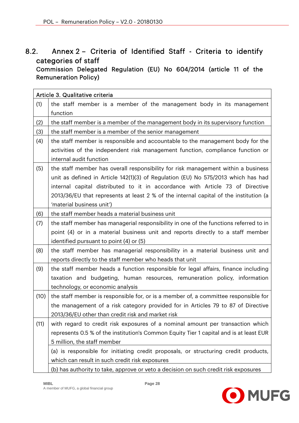# 8.2. Annex 2 – Criteria of Identified Staff - Criteria to identify categories of staff

Commission Delegated Regulation (EU) No 604/2014 (article 11 of the Remuneration Policy)

|      | Article 3. Qualitative criteria                                                        |
|------|----------------------------------------------------------------------------------------|
| (1)  | the staff member is a member of the management body in its management                  |
|      | function                                                                               |
| (2)  | the staff member is a member of the management body in its supervisory function        |
| (3)  | the staff member is a member of the senior management                                  |
| (4)  | the staff member is responsible and accountable to the management body for the         |
|      | activities of the independent risk management function, compliance function or         |
|      | internal audit function                                                                |
| (5)  | the staff member has overall responsibility for risk management within a business      |
|      | unit as defined in Article 142(1)(3) of Regulation (EU) No 575/2013 which has had      |
|      | internal capital distributed to it in accordance with Article 73 of Directive          |
|      | 2013/36/EU that represents at least 2 % of the internal capital of the institution (a  |
|      | 'material business unit')                                                              |
| (6)  | the staff member heads a material business unit                                        |
| (7)  | the staff member has managerial responsibility in one of the functions referred to in  |
|      | point (4) or in a material business unit and reports directly to a staff member        |
|      | identified pursuant to point $(4)$ or $(5)$                                            |
| (8)  | the staff member has managerial responsibility in a material business unit and         |
|      | reports directly to the staff member who heads that unit                               |
| (9)  | the staff member heads a function responsible for legal affairs, finance including     |
|      | taxation and budgeting, human resources, remuneration policy, information              |
|      | technology, or economic analysis                                                       |
| (10) | the staff member is responsible for, or is a member of, a committee responsible for    |
|      | the management of a risk category provided for in Articles 79 to 87 of Directive       |
|      | 2013/36/EU other than credit risk and market risk                                      |
| (11) | with regard to credit risk exposures of a nominal amount per transaction which         |
|      | represents 0.5 % of the institution's Common Equity Tier 1 capital and is at least EUR |
|      | 5 million, the staff member                                                            |
|      | (a) is responsible for initiating credit proposals, or structuring credit products,    |
|      | which can result in such credit risk exposures                                         |
|      | (b) has authority to take, approve or veto a decision on such credit risk exposures    |

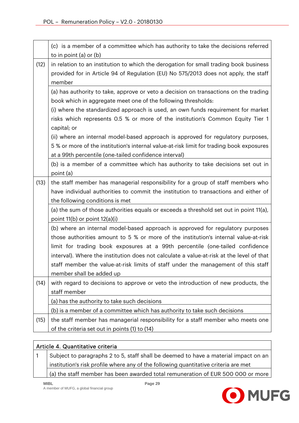|      | (c) is a member of a committee which has authority to take the decisions referred<br>to in point $(a)$ or $(b)$                                                                        |  |  |  |  |  |  |  |
|------|----------------------------------------------------------------------------------------------------------------------------------------------------------------------------------------|--|--|--|--|--|--|--|
| (12) | in relation to an institution to which the derogation for small trading book business<br>provided for in Article 94 of Regulation (EU) No 575/2013 does not apply, the staff<br>member |  |  |  |  |  |  |  |
|      | (a) has authority to take, approve or veto a decision on transactions on the trading                                                                                                   |  |  |  |  |  |  |  |
|      | book which in aggregate meet one of the following thresholds:                                                                                                                          |  |  |  |  |  |  |  |
|      | (i) where the standardized approach is used, an own funds requirement for market                                                                                                       |  |  |  |  |  |  |  |
|      | risks which represents 0.5 % or more of the institution's Common Equity Tier 1                                                                                                         |  |  |  |  |  |  |  |
|      | capital; or                                                                                                                                                                            |  |  |  |  |  |  |  |
|      | (ii) where an internal model-based approach is approved for regulatory purposes,                                                                                                       |  |  |  |  |  |  |  |
|      | 5 % or more of the institution's internal value-at-risk limit for trading book exposures                                                                                               |  |  |  |  |  |  |  |
|      | at a 99th percentile (one-tailed confidence interval)                                                                                                                                  |  |  |  |  |  |  |  |
|      | (b) is a member of a committee which has authority to take decisions set out in                                                                                                        |  |  |  |  |  |  |  |
|      | point (a)                                                                                                                                                                              |  |  |  |  |  |  |  |
| (13) | the staff member has managerial responsibility for a group of staff members who                                                                                                        |  |  |  |  |  |  |  |
|      | have individual authorities to commit the institution to transactions and either of                                                                                                    |  |  |  |  |  |  |  |
|      | the following conditions is met                                                                                                                                                        |  |  |  |  |  |  |  |
|      | (a) the sum of those authorities equals or exceeds a threshold set out in point 11(a),                                                                                                 |  |  |  |  |  |  |  |
|      | point $11(b)$ or point $12(a)(i)$                                                                                                                                                      |  |  |  |  |  |  |  |
|      | (b) where an internal model-based approach is approved for regulatory purposes                                                                                                         |  |  |  |  |  |  |  |
|      | those authorities amount to 5 % or more of the institution's internal value-at-risk<br>limit for trading book exposures at a 99th percentile (one-tailed confidence                    |  |  |  |  |  |  |  |
|      | interval). Where the institution does not calculate a value-at-risk at the level of that                                                                                               |  |  |  |  |  |  |  |
|      | staff member the value-at-risk limits of staff under the management of this staff                                                                                                      |  |  |  |  |  |  |  |
|      | member shall be added up                                                                                                                                                               |  |  |  |  |  |  |  |
| (14) | with regard to decisions to approve or veto the introduction of new products, the                                                                                                      |  |  |  |  |  |  |  |
|      | staff member                                                                                                                                                                           |  |  |  |  |  |  |  |
|      | (a) has the authority to take such decisions                                                                                                                                           |  |  |  |  |  |  |  |
|      | (b) is a member of a committee which has authority to take such decisions                                                                                                              |  |  |  |  |  |  |  |
| (15) | the staff member has managerial responsibility for a staff member who meets one                                                                                                        |  |  |  |  |  |  |  |
|      | of the criteria set out in points (1) to (14)                                                                                                                                          |  |  |  |  |  |  |  |

#### Article 4. Quantitative criteria

1 Subject to paragraphs 2 to 5, staff shall be deemed to have a material impact on an institution's risk profile where any of the following quantitative criteria are met (a) the staff member has been awarded total remuneration of EUR 500 000 or more

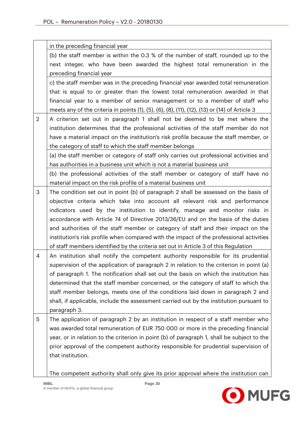|                | in the preceding financial year                                                               |
|----------------|-----------------------------------------------------------------------------------------------|
|                | (b) the staff member is within the 0.3 % of the number of staff, rounded up to the            |
|                | next integer, who have been awarded the highest total remuneration in the                     |
|                | preceding financial year                                                                      |
|                | c) the staff member was in the preceding financial year awarded total remuneration            |
|                | that is equal to or greater than the lowest total remuneration awarded in that                |
|                | financial year to a member of senior management or to a member of staff who                   |
|                | meets any of the criteria in points (1), (5), (6), (8), (11), (12), (13) or (14) of Article 3 |
| $\overline{2}$ | A criterion set out in paragraph 1 shall not be deemed to be met where the                    |
|                | institution determines that the professional activities of the staff member do not            |
|                | have a material impact on the institution's risk profile because the staff member, or         |
|                | the category of staff to which the staff member belongs                                       |
|                | (a) the staff member or category of staff only carries out professional activities and        |
|                | has authorities in a business unit which is not a material business unit                      |
|                | (b) the professional activities of the staff member or category of staff have no              |
|                | material impact on the risk profile of a material business unit                               |
| 3              | The condition set out in point (b) of paragraph 2 shall be assessed on the basis of           |
|                | objective criteria which take into account all relevant risk and performance                  |
|                | indicators used by the institution to identify, manage and monitor risks in                   |
|                | accordance with Article 74 of Directive 2013/36/EU and on the basis of the duties             |
|                | and authorities of the staff member or category of staff and their impact on the              |
|                | institution's risk profile when compared with the impact of the professional activities       |
|                | of staff members identified by the criteria set out in Article 3 of this Regulation           |
| 4              | An institution shall notify the competent authority responsible for its prudential            |
|                | supervision of the application of paragraph 2 in relation to the criterion in point (a)       |
|                | of paragraph 1. The notification shall set out the basis on which the institution has         |
|                | determined that the staff member concerned, or the category of staff to which the             |
|                | staff member belongs, meets one of the conditions laid down in paragraph 2 and                |
|                | shall, if applicable, include the assessment carried out by the institution pursuant to       |
|                | paragraph 3.                                                                                  |
| 5              | The application of paragraph 2 by an institution in respect of a staff member who             |
|                | was awarded total remuneration of EUR 750 000 or more in the preceding financial              |
|                | year, or in relation to the criterion in point (b) of paragraph 1, shall be subject to the    |
|                | prior approval of the competent authority responsible for prudential supervision of           |
|                | that institution.                                                                             |
|                |                                                                                               |
|                | The competent authority shall only give its prior approval where the institution can          |

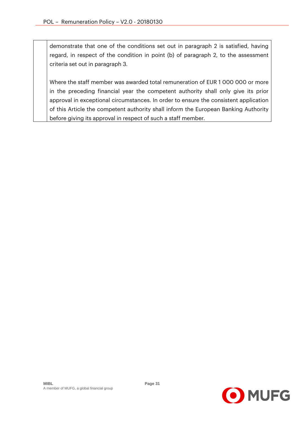demonstrate that one of the conditions set out in paragraph 2 is satisfied, having regard, in respect of the condition in point (b) of paragraph 2, to the assessment criteria set out in paragraph 3.

Where the staff member was awarded total remuneration of EUR 1 000 000 or more in the preceding financial year the competent authority shall only give its prior approval in exceptional circumstances. In order to ensure the consistent application of this Article the competent authority shall inform the European Banking Authority before giving its approval in respect of such a staff member.

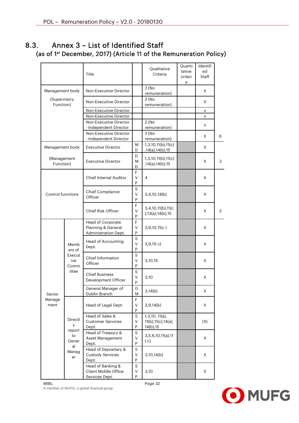## 8.3. Annex 3 – List of Identified Staff (as of 1st December, 2017) (Article 11 of the Remuneration Policy)

|                           |                                                  | Title                                                           |                            | Qualitative<br>Criteria                                  | Quanti<br>tative<br>criteri<br>a | Identifi<br>ed<br><b>Staff</b> |   |
|---------------------------|--------------------------------------------------|-----------------------------------------------------------------|----------------------------|----------------------------------------------------------|----------------------------------|--------------------------------|---|
| Management body           |                                                  | Non-Executive Director                                          |                            | 2(No)<br>remuneration)                                   |                                  | X                              |   |
| (Supervisory<br>Function) |                                                  | Non-Executive Director                                          |                            | 2(No)<br>remuneration)                                   |                                  | X                              |   |
|                           |                                                  | Non-Executive Director                                          |                            |                                                          |                                  | x                              |   |
|                           |                                                  | Non-Executive Director                                          |                            |                                                          |                                  | x                              |   |
|                           |                                                  | Non-Executive Director<br>- Independent Director                |                            | 2(No)<br>remuneration)                                   |                                  | x                              |   |
|                           |                                                  | Non-Executive Director<br>- Independent Director                |                            | 2(No)<br>remuneration)                                   |                                  | X                              | 6 |
| Management body           |                                                  | <b>Executive Director</b>                                       | M<br>D                     | 1,3,10,11(b),11(c)<br>,14(a),14(b),15                    |                                  | X                              |   |
| (Management<br>Function)  |                                                  | <b>Executive Director</b>                                       | D<br>M<br>D                | 1,3,10,11(b),11(c)<br>,14(a),14(b),15                    |                                  | X                              | 2 |
|                           |                                                  | <b>Chief Internal Auditor</b>                                   | F<br>V<br>P                | 4                                                        |                                  | X                              |   |
| Control functions         |                                                  | Chief Compliance<br>Officer                                     | $\mathbf S$<br>$\vee$<br>P | 3,4,10,14(b)                                             |                                  | X                              |   |
|                           |                                                  | Chief Risk Officer                                              | F<br>$\vee$<br>P           | 3,4,10,11(b),11(c)<br>),13(a),14(b),15                   |                                  | X                              | 3 |
|                           | Memb<br>ers of<br>Execut<br>ive<br>Comm<br>ittee | Head of Corporate<br>Planning & General<br>Administration Dept. | F<br>$\vee$<br>P           | 3,9,10,11(c)                                             |                                  | X                              |   |
|                           |                                                  | Head of Accounting<br>Dept.                                     | S<br>$\vee$<br>P           | 3,9,11(c)                                                |                                  | X                              |   |
|                           |                                                  | <b>Chief Information</b><br>Officer                             | $\mathbf S$<br>$\vee$<br>P | 3,10,15                                                  |                                  | X                              |   |
|                           |                                                  | <b>Chief Business</b><br>Development Officer                    | S<br>V<br>P                | 3,10                                                     |                                  | Χ                              |   |
| Senior                    |                                                  | General Manager of<br>Dublin Branch                             | G<br>M                     | 3,14(b)                                                  |                                  | X                              |   |
| Manage<br>ment            |                                                  | Head of Legal Dept.                                             | F<br>V<br>${\sf P}$        | 3,9,14(b)                                                |                                  | X                              |   |
|                           | Directl<br>y<br>report<br>to<br>Gener            | Head of Sales &<br><b>Customer Services</b><br>Dept.            | S<br>V<br>${\sf P}$        | 1,3,10, 11(a),<br>11(b), 11(c), 14(a),<br>$14(b)$ , $15$ |                                  | (X)                            |   |
|                           |                                                  | Head of Treasury &<br>Asset Management<br>Dept.                 | S<br>V<br>P                | 3,5,6,10,11(a),11<br>(c)                                 |                                  | X                              |   |
|                           | al<br>Manag<br>er                                | Head of Depositary &<br><b>Custody Services</b><br>Dept.        | S<br>V<br>${\sf P}$        | 3,10,14(b)                                               |                                  | X                              |   |
|                           |                                                  | Head of Banking &<br>Client Middle Office<br>Services Dept.     | S<br>V<br>P                | 3,10                                                     |                                  | X                              |   |

**MIBL Page 32**  A member of MUFG, a global financial group

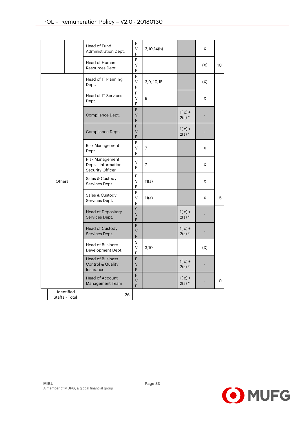|  |        |                              | Head of Fund<br>Administration Dept.                                 | F<br>V<br>P      | 3,10,14(b)  |                      | Χ   |    |
|--|--------|------------------------------|----------------------------------------------------------------------|------------------|-------------|----------------------|-----|----|
|  |        |                              | Head of Human<br>Resources Dept.                                     | F<br>V<br>P      |             |                      | (X) | 10 |
|  |        |                              | Head of IT Planning<br>Dept.                                         | F<br>V<br>P      | 3,9, 10, 15 |                      | (X) |    |
|  |        |                              | <b>Head of IT Services</b><br>Dept.                                  | F<br>V<br>P      | 9           |                      | X   |    |
|  |        |                              | Compliance Dept.                                                     | F<br>V<br>P      |             | $1(c) +$<br>$2(a) *$ |     |    |
|  |        |                              | Compliance Dept.                                                     | F<br>V<br>P      |             | $1(c) +$<br>$2(a)$ * |     |    |
|  |        |                              | Risk Management<br>Dept.                                             | F<br>V<br>P      | 7           |                      | X   |    |
|  | Others |                              | Risk Management<br>Dept. - Information<br>Security Officer           | V<br>P           | 7           |                      | X   |    |
|  |        |                              | Sales & Custody<br>Services Dept.                                    | F<br>V<br>P      | 11(a)       |                      | X   |    |
|  |        |                              | Sales & Custody<br>Services Dept.                                    | F<br>V<br>P      | 11(a)       |                      | X   | 5  |
|  |        |                              | <b>Head of Depositary</b><br>Services Dept.                          | S<br>$\vee$<br>P |             | $1(c) +$<br>$2(a)$ * |     |    |
|  |        |                              | Head of Custody<br>Services Dept.                                    | F<br>$\vee$<br>P |             | $1(c) +$<br>$2(a)$ * |     |    |
|  |        |                              | <b>Head of Business</b><br>Development Dept.                         | S<br>V<br>P      | 3,10        |                      | (X) |    |
|  |        |                              | <b>Head of Business</b><br><b>Control &amp; Quality</b><br>Insurance | F<br>$\vee$<br>P |             | $1(c) +$<br>$2(a)$ * |     |    |
|  |        |                              | Head of Account<br>Management Team                                   | F<br>V<br>P      |             | $1(c) +$<br>$2(a) *$ |     | 0  |
|  |        | Identified<br>Staffs - Total | 26                                                                   |                  |             |                      |     |    |

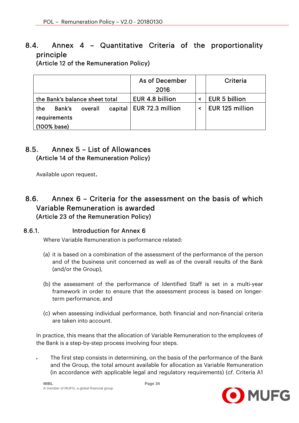# 8.4. Annex 4 – Quantitative Criteria of the proportionality principle

(Article 12 of the Remuneration Policy)

|                                | As of December                        |  | Criteria               |  |
|--------------------------------|---------------------------------------|--|------------------------|--|
|                                | 2016                                  |  |                        |  |
| the Bank's balance sheet total | EUR 4.8 billion                       |  | EUR 5 billion          |  |
| overall<br>Bank's<br>the       | capital   EUR 72.3 million<br>$\prec$ |  | <b>EUR 125 million</b> |  |
| requirements                   |                                       |  |                        |  |
| (100% base)                    |                                       |  |                        |  |

## 8.5. Annex 5 – List of Allowances (Article 14 of the Remuneration Policy)

Available upon request.

## 8.6. Annex 6 – Criteria for the assessment on the basis of which Variable Remuneration is awarded (Article 23 of the Remuneration Policy)

#### 8.6.1. Introduction for Annex 6

Where Variable Remuneration is performance related:

- (a) it is based on a combination of the assessment of the performance of the person and of the business unit concerned as well as of the overall results of the Bank (and/or the Group),
- (b) the assessment of the performance of Identified Staff is set in a multi-year framework in order to ensure that the assessment process is based on longerterm performance, and
- (c) when assessing individual performance, both financial and non-financial criteria are taken into account.

In practice, this means that the allocation of Variable Remuneration to the employees of the Bank is a step-by-step process involving four steps.

 The first step consists in determining, on the basis of the performance of the Bank and the Group, the total amount available for allocation as Variable Remuneration (in accordance with applicable legal and regulatory requirements) (*cf*. Criteria A1

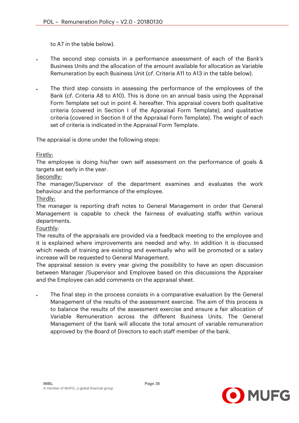to A7 in the table below).

- The second step consists in a performance assessment of each of the Bank's Business Units and the allocation of the amount available for allocation as Variable Remuneration by each Business Unit (*cf*. Criteria A11 to A13 in the table below).
- The third step consists in assessing the performance of the employees of the Bank (*cf*. Criteria A8 to A10). This is done on an annual basis using the Appraisal Form Template set out in point 4. hereafter. This appraisal covers both qualitative criteria (covered in Section I of the Appraisal Form Template), and qualitative criteria (covered in Section II of the Appraisal Form Template). The weight of each set of criteria is indicated in the Appraisal Form Template.

The appraisal is done under the following steps:

#### Firstly:

The employee is doing his/her own self assessment on the performance of goals & targets set early in the year.

#### Secondly:

The manager/Supervisor of the department examines and evaluates the work behaviour and the performance of the employee.

#### Thirdly:

The manager is reporting draft notes to General Management in order that General Management is capable to check the fairness of evaluating staffs within various departments.

#### Fourthly:

The results of the appraisals are provided via a feedback meeting to the employee and it is explained where improvements are needed and why. In addition it is discussed which needs of training are existing and eventually who will be promoted or a salary increase will be requested to General Management.

The appraisal session is every year giving the possibility to have an open discussion between Manager /Supervisor and Employee based on this discussions the Appraiser and the Employee can add comments on the appraisal sheet.

 The final step in the process consists in a comparative evaluation by the General Management of the results of the assessment exercise. The aim of this process is to balance the results of the assessment exercise and ensure a fair allocation of Variable Remuneration across the different Business Units. The General Management of the bank will allocate the total amount of variable remuneration approved by the Board of Directors to each staff member of the bank.

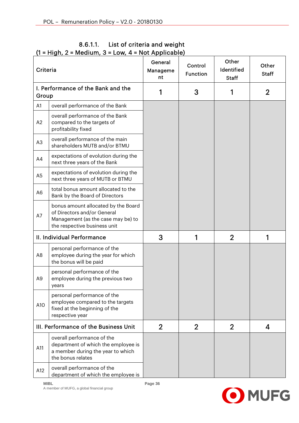| Criteria       |                                                                                                                                          | 110111<br>General<br>Manageme<br>nt | Control<br><b>Function</b> | Other<br>Identified<br><b>Staff</b> | Other<br><b>Staff</b> |
|----------------|------------------------------------------------------------------------------------------------------------------------------------------|-------------------------------------|----------------------------|-------------------------------------|-----------------------|
| Group          | I. Performance of the Bank and the                                                                                                       | 1                                   | 3                          |                                     | $\overline{2}$        |
| A <sub>1</sub> | overall performance of the Bank                                                                                                          |                                     |                            |                                     |                       |
| A2             | overall performance of the Bank<br>compared to the targets of<br>profitability fixed                                                     |                                     |                            |                                     |                       |
| A <sub>3</sub> | overall performance of the main<br>shareholders MUTB and/or BTMU                                                                         |                                     |                            |                                     |                       |
| A4             | expectations of evolution during the<br>next three years of the Bank                                                                     |                                     |                            |                                     |                       |
| A <sub>5</sub> | expectations of evolution during the<br>next three years of MUTB or BTMU                                                                 |                                     |                            |                                     |                       |
| A <sub>6</sub> | total bonus amount allocated to the<br>Bank by the Board of Directors                                                                    |                                     |                            |                                     |                       |
| A7             | bonus amount allocated by the Board<br>of Directors and/or General<br>Management (as the case may be) to<br>the respective business unit |                                     |                            |                                     |                       |
|                | II. Individual Performance                                                                                                               | 3                                   | 1                          | $\overline{2}$                      | 1                     |
| A <sub>8</sub> | personal performance of the<br>employee during the year for which<br>the bonus will be paid                                              |                                     |                            |                                     |                       |
| A9             | personal performance of the<br>employee during the previous two<br>years                                                                 |                                     |                            |                                     |                       |
| A10            | personal performance of the<br>employee compared to the targets<br>fixed at the beginning of the<br>respective year                      |                                     |                            |                                     |                       |
|                | III. Performance of the Business Unit                                                                                                    | $\overline{2}$                      | $\overline{2}$             | $\overline{2}$                      | 4                     |
| A11            | overall performance of the<br>department of which the employee is<br>a member during the year to which<br>the bonus relates              |                                     |                            |                                     |                       |
| A12            | overall performance of the<br>department of which the employee is                                                                        |                                     |                            |                                     |                       |

#### 8.6.1.1. List of criteria and weight  $(1 = Hich, 2 = Medium, 3 = Low, 4 = Not Apollo)$

A member of MUFG, a global financial group

**MIBL Page 36** 

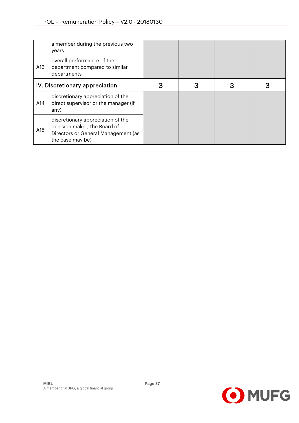|     | a member during the previous two<br>years                                                                                    |  |  |
|-----|------------------------------------------------------------------------------------------------------------------------------|--|--|
| A13 | overall performance of the<br>department compared to similar<br>departments                                                  |  |  |
|     | IV. Discretionary appreciation                                                                                               |  |  |
| A14 | discretionary appreciation of the<br>direct supervisor or the manager (if<br>any)                                            |  |  |
| A15 | discretionary appreciation of the<br>decision maker, the Board of<br>Directors or General Management (as<br>the case may be) |  |  |



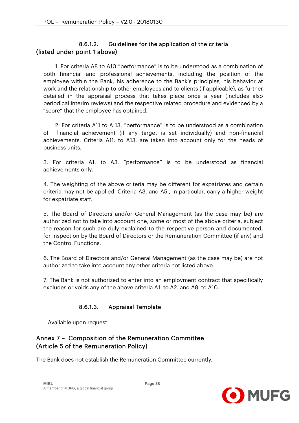#### 8.6.1.2. Guidelines for the application of the criteria (listed under point 1 above)

 1. For criteria A8 to A10 "performance" is to be understood as a combination of both financial and professional achievements, including the position of the employee within the Bank, his adherence to the Bank's principles, his behavior at work and the relationship to other employees and to clients (if applicable), as further detailed in the appraisal process that takes place once a year (includes also periodical interim reviews) and the respective related procedure and evidenced by a "score" that the employee has obtained.

 2. For criteria A11 to A 13. "performance" is to be understood as a combination of financial achievement (if any target is set individually) and non-financial achievements. Criteria A11. to A13. are taken into account only for the heads of business units.

3. For criteria A1. to A3. "performance" is to be understood as financial achievements only.

4. The weighting of the above criteria may be different for expatriates and certain criteria may not be applied. Criteria A3. and A5., in particular, carry a higher weight for expatriate staff.

5. The Board of Directors and/or General Management (as the case may be) are authorized not to take into account one, some or most of the above criteria, subject the reason for such are duly explained to the respective person and documented, for inspection by the Board of Directors or the Remuneration Committee (if any) and the Control Functions.

6. The Board of Directors and/or General Management (as the case may be) are not authorized to take into account any other criteria not listed above.

7. The Bank is not authorized to enter into an employment contract that specifically excludes or voids any of the above criteria A1. to A2. and A8. to A10.

#### 8.6.1.3. Appraisal Template

Available upon request

#### Annex 7 – Composition of the Remuneration Committee (Article 5 of the Remuneration Policy)

The Bank does not establish the Remuneration Committee currently.